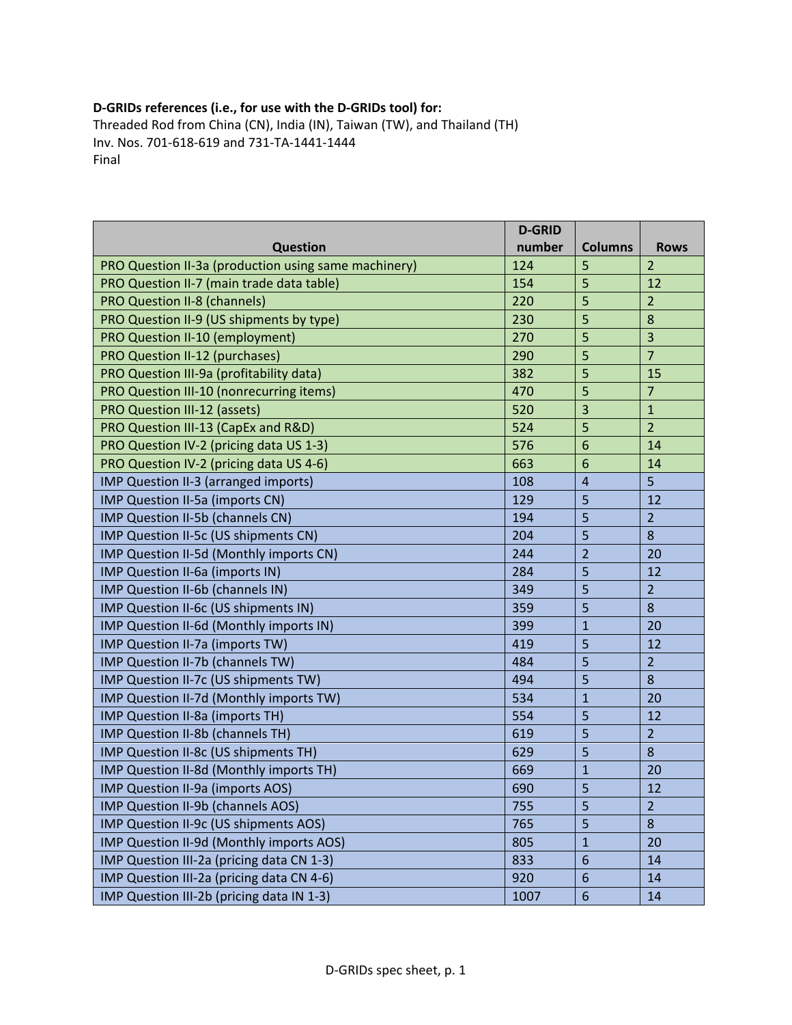## **D‐GRIDs references (i.e., for use with the D‐GRIDs tool) for:**

Threaded Rod from China (CN), India (IN), Taiwan (TW), and Thailand (TH) Inv. Nos. 701‐618‐619 and 731‐TA‐1441‐1444 Final

|                                                      | <b>D-GRID</b> |                |                |
|------------------------------------------------------|---------------|----------------|----------------|
| <b>Question</b>                                      | number        | <b>Columns</b> | <b>Rows</b>    |
| PRO Question II-3a (production using same machinery) | 124           | 5              | $\overline{2}$ |
| PRO Question II-7 (main trade data table)            | 154           | 5              | 12             |
| <b>PRO Question II-8 (channels)</b>                  | 220           | 5              | $\overline{2}$ |
| PRO Question II-9 (US shipments by type)             | 230           | 5              | 8              |
| PRO Question II-10 (employment)                      | 270           | 5              | $\overline{3}$ |
| PRO Question II-12 (purchases)                       | 290           | 5              | $\overline{7}$ |
| PRO Question III-9a (profitability data)             | 382           | 5              | 15             |
| PRO Question III-10 (nonrecurring items)             | 470           | 5              | $\overline{7}$ |
| <b>PRO Question III-12 (assets)</b>                  | 520           | 3              | $\mathbf{1}$   |
| PRO Question III-13 (CapEx and R&D)                  | 524           | 5              | $\overline{2}$ |
| PRO Question IV-2 (pricing data US 1-3)              | 576           | 6              | 14             |
| PRO Question IV-2 (pricing data US 4-6)              | 663           | 6              | 14             |
| IMP Question II-3 (arranged imports)                 | 108           | $\overline{4}$ | 5              |
| IMP Question II-5a (imports CN)                      | 129           | 5              | 12             |
| IMP Question II-5b (channels CN)                     | 194           | 5              | $\overline{2}$ |
| IMP Question II-5c (US shipments CN)                 | 204           | 5              | 8              |
| IMP Question II-5d (Monthly imports CN)              | 244           | $\overline{2}$ | 20             |
| IMP Question II-6a (imports IN)                      | 284           | 5              | 12             |
| IMP Question II-6b (channels IN)                     | 349           | 5              | $\overline{2}$ |
| IMP Question II-6c (US shipments IN)                 | 359           | 5              | 8              |
| IMP Question II-6d (Monthly imports IN)              | 399           | $\mathbf{1}$   | 20             |
| IMP Question II-7a (imports TW)                      | 419           | 5              | 12             |
| IMP Question II-7b (channels TW)                     | 484           | 5              | $\overline{2}$ |
| IMP Question II-7c (US shipments TW)                 | 494           | 5              | 8              |
| IMP Question II-7d (Monthly imports TW)              | 534           | $\mathbf{1}$   | 20             |
| IMP Question II-8a (imports TH)                      | 554           | 5              | 12             |
| IMP Question II-8b (channels TH)                     | 619           | 5              | $\overline{2}$ |
| IMP Question II-8c (US shipments TH)                 | 629           | 5              | 8              |
| IMP Question II-8d (Monthly imports TH)              | 669           | $\mathbf{1}$   | 20             |
| IMP Question II-9a (imports AOS)                     | 690           | 5              | 12             |
| IMP Question II-9b (channels AOS)                    | 755           | 5              | $\overline{a}$ |
| IMP Question II-9c (US shipments AOS)                | 765           | 5              | 8              |
| IMP Question II-9d (Monthly imports AOS)             | 805           | $\mathbf{1}$   | 20             |
| IMP Question III-2a (pricing data CN 1-3)            | 833           | 6              | 14             |
| IMP Question III-2a (pricing data CN 4-6)            | 920           | 6              | 14             |
| IMP Question III-2b (pricing data IN 1-3)            | 1007          | 6              | 14             |